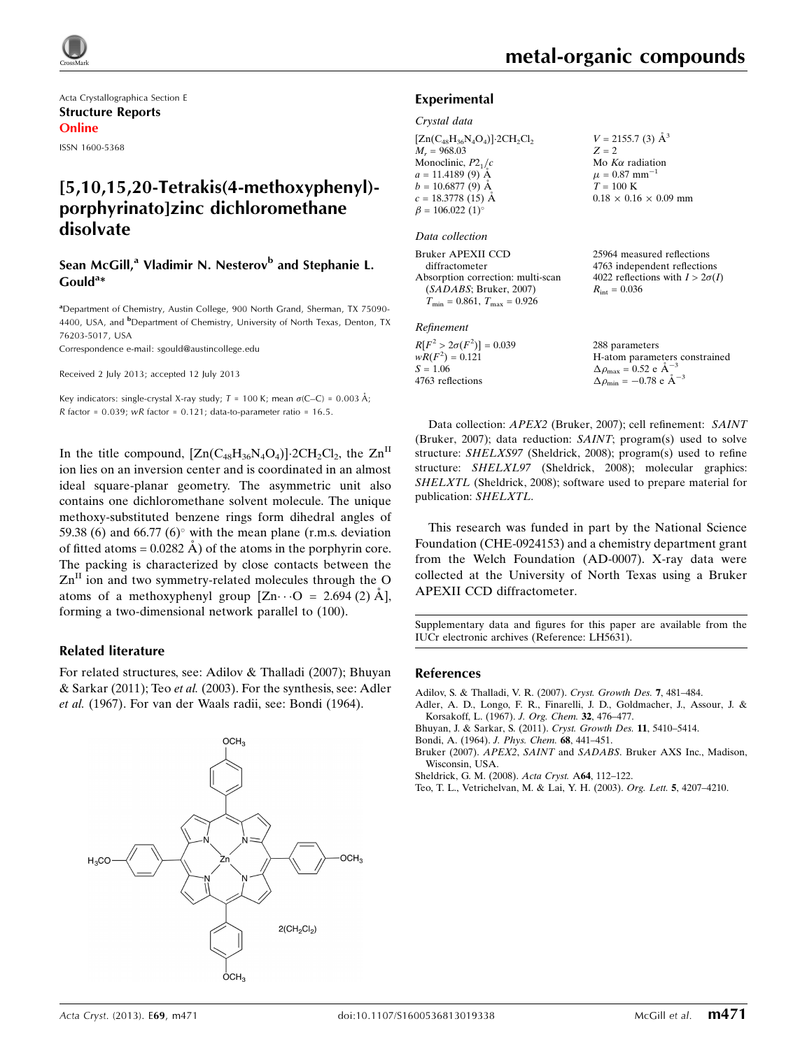

Acta Crystallographica Section E Structure Reports Online

ISSN 1600-5368

## [5,10,15,20-Tetrakis(4-methoxyphenyl) porphyrinato]zinc dichloromethane disolvate

### Sean McGill,<sup>a</sup> Vladimir N. Nesterov<sup>b</sup> and Stephanie L.  $\text{Gould}^{\text{a}}$

<sup>a</sup>Department of Chemistry, Austin College, 900 North Grand, Sherman, TX 75090-4400, USA, and <sup>b</sup>Department of Chemistry, University of North Texas, Denton, TX 76203-5017, USA

Correspondence e-mail: [sgould@austincollege.edu](https://scripts.iucr.org/cgi-bin/cr.cgi?rm=pdfbb&cnor=lh5631&bbid=BB7)

Received 2 July 2013; accepted 12 July 2013

Key indicators: single-crystal X-ray study;  $T = 100$  K; mean  $\sigma$ (C–C) = 0.003 Å; R factor =  $0.039$ ; wR factor =  $0.121$ ; data-to-parameter ratio =  $16.5$ .

In the title compound,  $[Zn(C_{48}H_{36}N_4O_4)]$  2CH<sub>2</sub>Cl<sub>2</sub>, the  $Zn^H$ ion lies on an inversion center and is coordinated in an almost ideal square-planar geometry. The asymmetric unit also contains one dichloromethane solvent molecule. The unique methoxy-substituted benzene rings form dihedral angles of 59.38 (6) and 66.77 (6) $^{\circ}$  with the mean plane (r.m.s. deviation of fitted atoms =  $0.0282$  Å) of the atoms in the porphyrin core. The packing is characterized by close contacts between the  $\text{Zn}^{\text{II}}$  ion and two symmetry-related molecules through the O atoms of a methoxyphenyl group  $[Zn \cdots O = 2.694 (2) \text{ Å}]$ , forming a two-dimensional network parallel to (100).

### Related literature

For related structures, see: Adilov & Thalladi (2007); Bhuyan & Sarkar (2011); Teo et al. (2003). For the synthesis, see: Adler et al. (1967). For van der Waals radii, see: Bondi (1964).



### Experimental

Crystal data

 $[Zn(C_{48}H_{36}N_4O_4)]$ ·2CH<sub>2</sub>Cl<sub>2</sub>  $M_r = 968.03$ Monoclinic,  $P2<sub>1</sub>/c$  $a = 11.4189(9)$  Å  $b = 10.6877(9)$  Å  $c = 18.3778(15)$  Å  $\beta = 106.022$  (1)<sup>o</sup>

### Data collection

Bruker APEXII CCD diffractometer Absorption correction: multi-scan (SADABS; Bruker, 2007)  $T_{\text{min}} = 0.861, T_{\text{max}} = 0.926$ 

#### Refinement

 $R[F^2 > 2\sigma(F^2)] = 0.039$  $wR(F^2) = 0.121$  $S = 1.06$ 4763 reflections

 $V = 2155.7$  (3)  $\AA^3$  $Z = 2$ Mo  $K\alpha$  radiation  $\mu = 0.87$  mm<sup>-1</sup>  $T = 100 \text{ K}$  $0.18 \times 0.16 \times 0.09$  mm

25964 measured reflections 4763 independent reflections 4022 reflections with  $I > 2\sigma(I)$  $R_{\text{int}} = 0.036$ 

288 parameters H-atom parameters constrained  $\Delta \rho_{\text{max}} = 0.52 \text{ e A}^{-3}$  $\Delta \rho_{\rm min} = -0.78 \text{ e } \text{\AA}^{-3}$ 

Data collection: APEX2 (Bruker, 2007); cell refinement: SAINT (Bruker, 2007); data reduction: SAINT; program(s) used to solve structure: SHELXS97 (Sheldrick, 2008); program(s) used to refine structure: SHELXL97 (Sheldrick, 2008); molecular graphics: SHELXTL (Sheldrick, 2008); software used to prepare material for publication: SHELXTL.

This research was funded in part by the National Science Foundation (CHE-0924153) and a chemistry department grant from the Welch Foundation (AD-0007). X-ray data were collected at the University of North Texas using a Bruker APEXII CCD diffractometer.

Supplementary data and figures for this paper are available from the IUCr electronic archives (Reference: LH5631).

### References

- [Adilov, S. & Thalladi, V. R. \(2007\).](https://scripts.iucr.org/cgi-bin/cr.cgi?rm=pdfbb&cnor=lh5631&bbid=BB1) Cryst. Growth Des. 7, 481–484.
- [Adler, A. D., Longo, F. R., Finarelli, J. D., Goldmacher, J., Assour, J. &](https://scripts.iucr.org/cgi-bin/cr.cgi?rm=pdfbb&cnor=lh5631&bbid=BB2) [Korsakoff, L. \(1967\).](https://scripts.iucr.org/cgi-bin/cr.cgi?rm=pdfbb&cnor=lh5631&bbid=BB2) J. Org. Chem. 32, 476–477.
- [Bhuyan, J. & Sarkar, S. \(2011\).](https://scripts.iucr.org/cgi-bin/cr.cgi?rm=pdfbb&cnor=lh5631&bbid=BB3) Cryst. Growth Des. 11, 5410–5414.
- [Bondi, A. \(1964\).](https://scripts.iucr.org/cgi-bin/cr.cgi?rm=pdfbb&cnor=lh5631&bbid=BB4) J. Phys. Chem. 68, 441–451.
- Bruker (2007). APEX2, SAINT and SADABS[. Bruker AXS Inc., Madison,](https://scripts.iucr.org/cgi-bin/cr.cgi?rm=pdfbb&cnor=lh5631&bbid=BB5) [Wisconsin, USA.](https://scripts.iucr.org/cgi-bin/cr.cgi?rm=pdfbb&cnor=lh5631&bbid=BB5)
- [Sheldrick, G. M. \(2008\).](https://scripts.iucr.org/cgi-bin/cr.cgi?rm=pdfbb&cnor=lh5631&bbid=BB6) Acta Cryst. A64, 112–122.
- [Teo, T. L., Vetrichelvan, M. & Lai, Y. H. \(2003\).](https://scripts.iucr.org/cgi-bin/cr.cgi?rm=pdfbb&cnor=lh5631&bbid=BB7) Org. Lett. 5, 4207–4210.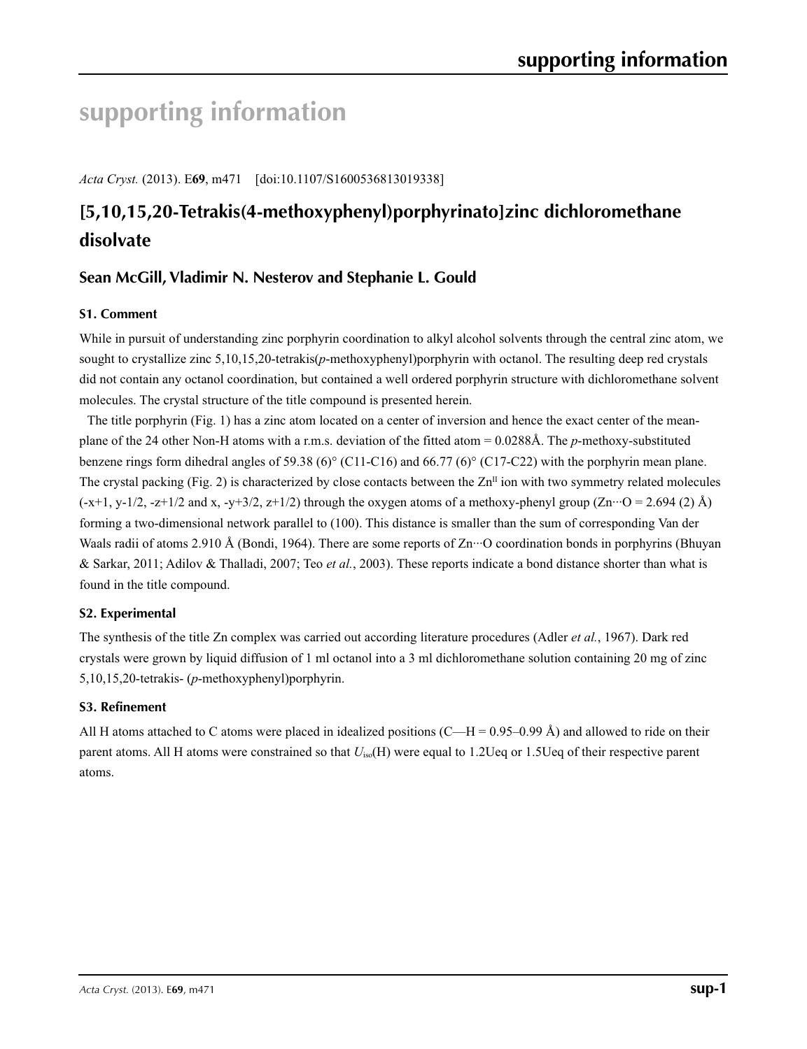# **supporting information**

*Acta Cryst.* (2013). E**69**, m471 [doi:10.1107/S1600536813019338]

## **[5,10,15,20-Tetrakis(4-methoxyphenyl)porphyrinato]zinc dichloromethane disolvate**

## **Sean McGill, Vladimir N. Nesterov and Stephanie L. Gould**

### **S1. Comment**

While in pursuit of understanding zinc porphyrin coordination to alkyl alcohol solvents through the central zinc atom, we sought to crystallize zinc 5,10,15,20-tetrakis(*p*-methoxyphenyl)porphyrin with octanol. The resulting deep red crystals did not contain any octanol coordination, but contained a well ordered porphyrin structure with dichloromethane solvent molecules. The crystal structure of the title compound is presented herein.

The title porphyrin (Fig. 1) has a zinc atom located on a center of inversion and hence the exact center of the meanplane of the 24 other Non-H atoms with a r.m.s. deviation of the fitted atom = 0.0288Å. The *p*-methoxy-substituted benzene rings form dihedral angles of 59.38 (6)° (C11-C16) and 66.77 (6)° (C17-C22) with the porphyrin mean plane. The crystal packing (Fig. 2) is characterized by close contacts between the  $\text{Zn}^{\text{II}}$  ion with two symmetry related molecules  $(-x+1, y-1/2, -z+1/2$  and x,  $-y+3/2, z+1/2$ ) through the oxygen atoms of a methoxy-phenyl group  $(Zn \cdot \cdot \cdot O = 2.694$  (2) Å) forming a two-dimensional network parallel to (100). This distance is smaller than the sum of corresponding Van der Waals radii of atoms 2.910 Å (Bondi, 1964). There are some reports of Zn<sup>.</sup>··O coordination bonds in porphyrins (Bhuyan & Sarkar, 2011; Adilov & Thalladi, 2007; Teo *et al.*, 2003). These reports indicate a bond distance shorter than what is found in the title compound.

### **S2. Experimental**

The synthesis of the title Zn complex was carried out according literature procedures (Adler *et al.*, 1967). Dark red crystals were grown by liquid diffusion of 1 ml octanol into a 3 ml dichloromethane solution containing 20 mg of zinc 5,10,15,20-tetrakis- (*p*-methoxyphenyl)porphyrin.

### **S3. Refinement**

All H atoms attached to C atoms were placed in idealized positions  $(C-H = 0.95-0.99 \text{ Å})$  and allowed to ride on their parent atoms. All H atoms were constrained so that *U*iso(H) were equal to 1.2Ueq or 1.5Ueq of their respective parent atoms.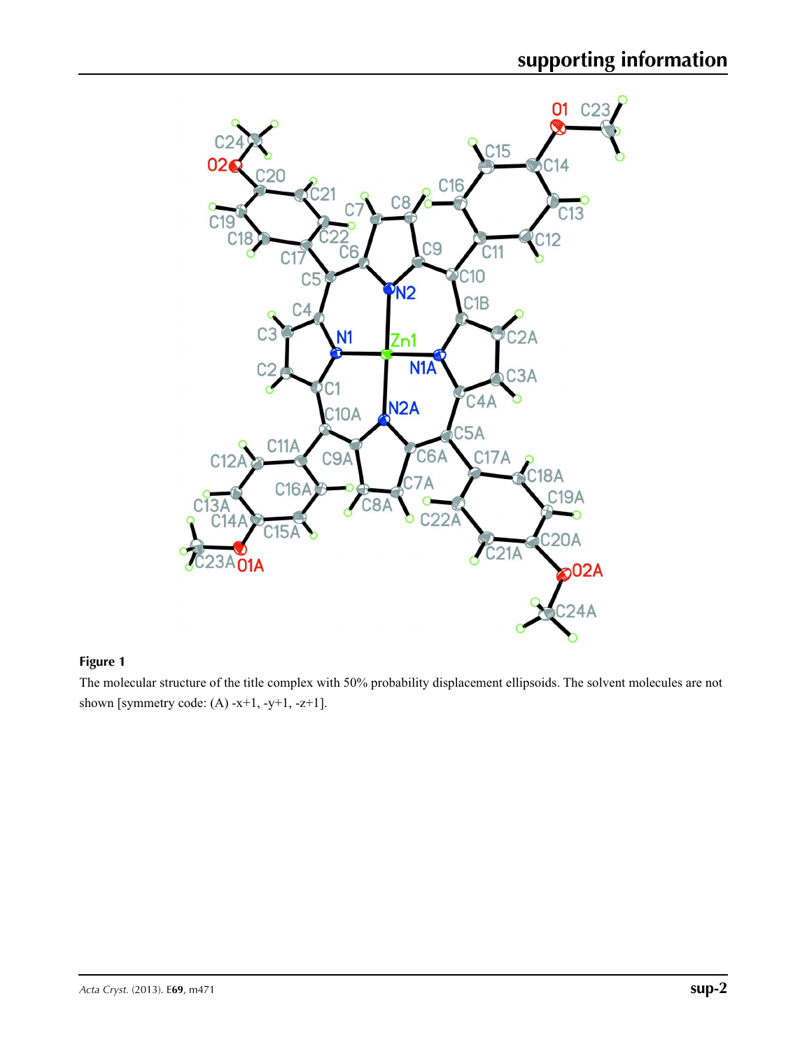

### **Figure 1**

The molecular structure of the title complex with 50% probability displacement ellipsoids. The solvent molecules are not shown [symmetry code:  $(A)$  -x+1, -y+1, -z+1].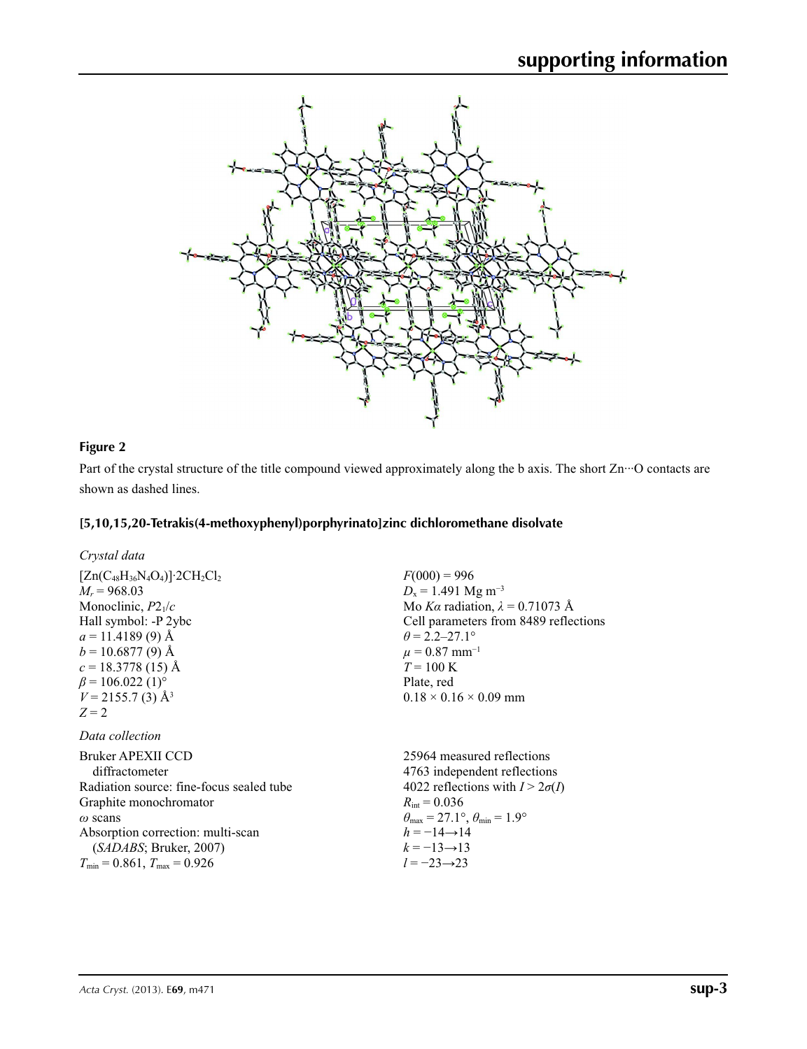

## **Figure 2**

Part of the crystal structure of the title compound viewed approximately along the b axis. The short Zn<sup>.</sup>··O contacts are shown as dashed lines.

*l* = −23→23

## **[5,10,15,20-Tetrakis(4-methoxyphenyl)porphyrinato]zinc dichloromethane disolvate**

| Crystal data                                                                                                                                        |                                                                                                                                          |
|-----------------------------------------------------------------------------------------------------------------------------------------------------|------------------------------------------------------------------------------------------------------------------------------------------|
| $[Zn(C_{48}H_{36}N_4O_4)]$ 2CH <sub>2</sub> Cl <sub>2</sub><br>$M_r = 968.03$<br>Monoclinic, $P2_1/c$<br>Hall symbol: -P 2ybc                       | $F(000) = 996$<br>$D_x = 1.491$ Mg m <sup>-3</sup><br>Mo Ka radiation, $\lambda = 0.71073$ Å<br>Cell parameters from 8489 reflections    |
| $a = 11.4189(9)$ Å<br>$b = 10.6877(9)$ Å<br>$c = 18.3778(15)$ Å<br>$\beta$ = 106.022 (1) <sup>o</sup><br>$V = 2155.7$ (3) Å <sup>3</sup><br>$Z = 2$ | $\theta = 2.2 - 27.1^{\circ}$<br>$\mu = 0.87$ mm <sup>-1</sup><br>$T = 100 \text{ K}$<br>Plate, red<br>$0.18 \times 0.16 \times 0.09$ mm |
| Data collection                                                                                                                                     |                                                                                                                                          |
| Bruker APEXII CCD<br>diffractometer                                                                                                                 | 25964 measured reflections<br>4763 independent reflections                                                                               |
| Radiation source: fine-focus sealed tube                                                                                                            | 4022 reflections with $I > 2\sigma(I)$                                                                                                   |
| Graphite monochromator                                                                                                                              | $R_{\rm int} = 0.036$                                                                                                                    |
| $\omega$ scans                                                                                                                                      | $\theta_{\text{max}} = 27.1^{\circ}, \theta_{\text{min}} = 1.9^{\circ}$                                                                  |
| Absorption correction: multi-scan<br>(SADABS; Bruker, 2007)                                                                                         | $h = -14 \rightarrow 14$<br>$k = -13 \rightarrow 13$                                                                                     |

 $T_{\text{min}} = 0.861, T_{\text{max}} = 0.926$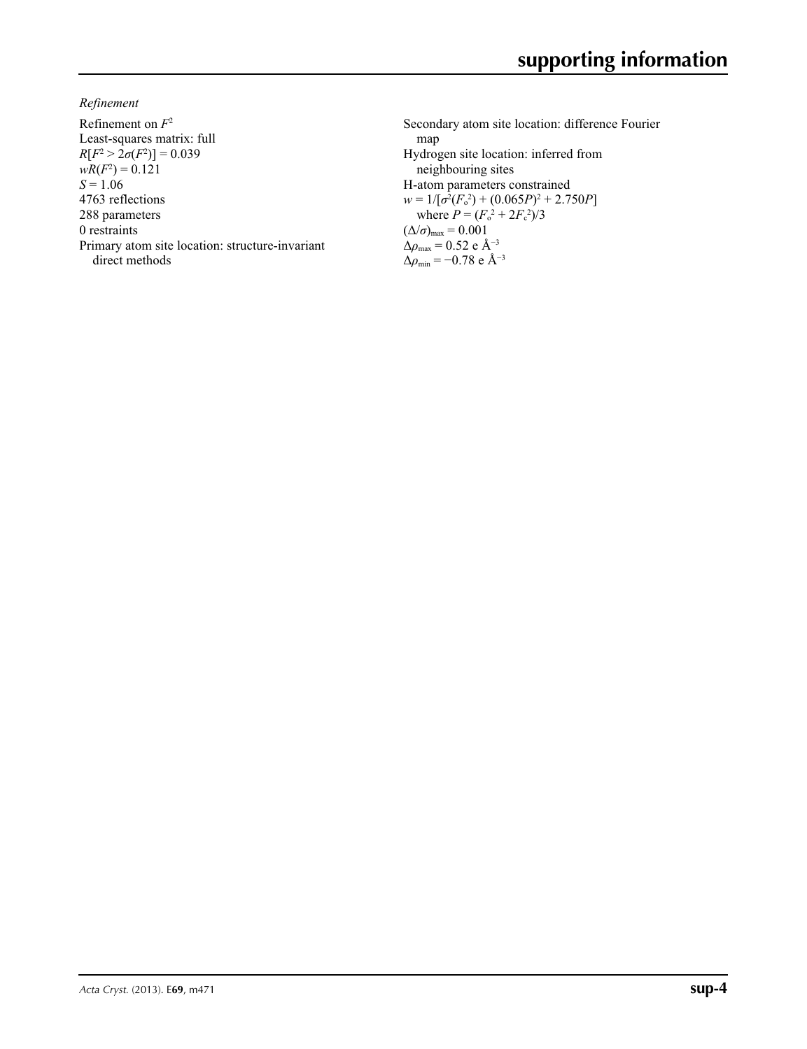*Refinement*

Refinement on *F*<sup>2</sup> Least-squares matrix: full  $R[F^2 > 2\sigma(F^2)] = 0.039$  $wR(F^2) = 0.121$  $S = 1.06$ 4763 reflections 288 parameters 0 restraints Primary atom site location: structure-invariant direct methods

Secondary atom site location: difference Fourier map Hydrogen site location: inferred from neighbouring sites H-atom parameters constrained  $w = 1/[\sigma^2 (F_o^2) + (0.065P)^2 + 2.750P]$ where  $P = (F_o^2 + 2F_c^2)/3$  $(\Delta/\sigma)_{\text{max}} = 0.001$ Δ*ρ*max = 0.52 e Å−3 Δ*ρ*min = −0.78 e Å−3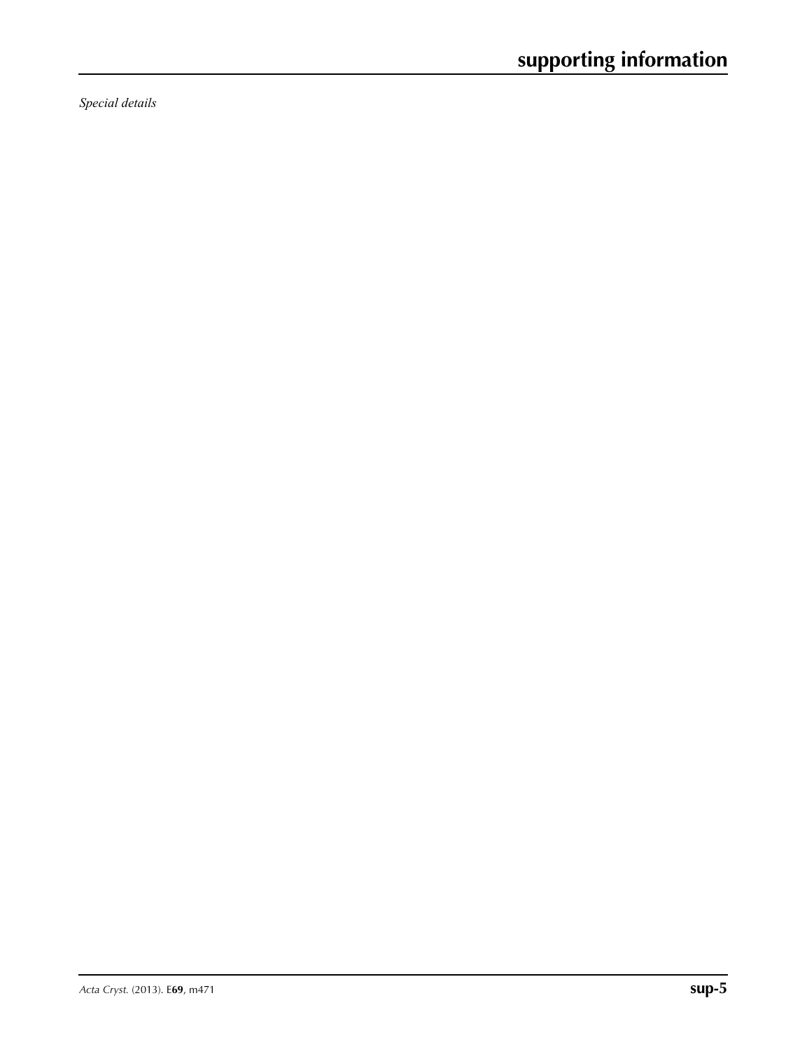*Special details*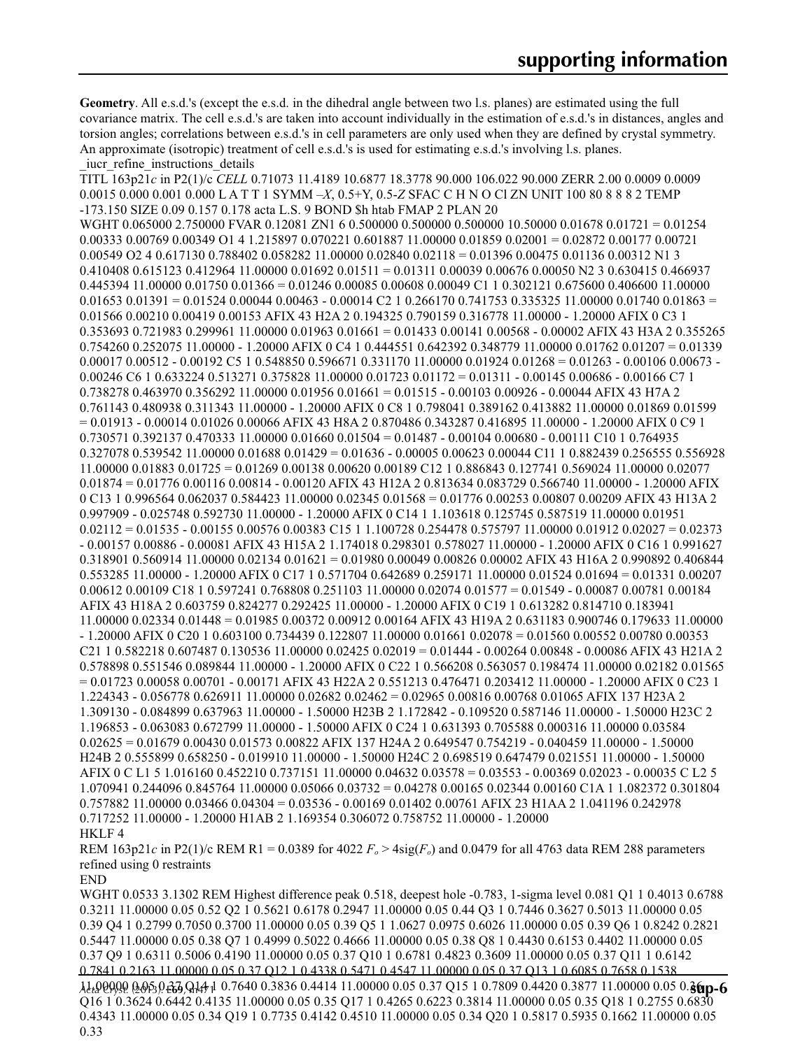**Geometry**. All e.s.d.'s (except the e.s.d. in the dihedral angle between two l.s. planes) are estimated using the full covariance matrix. The cell e.s.d.'s are taken into account individually in the estimation of e.s.d.'s in distances, angles and torsion angles; correlations between e.s.d.'s in cell parameters are only used when they are defined by crystal symmetry. An approximate (isotropic) treatment of cell e.s.d.'s is used for estimating e.s.d.'s involving l.s. planes. \_iucr\_refine\_instructions\_details

TITL 163p21*c* in P2(1)/c *CELL* 0.71073 11.4189 10.6877 18.3778 90.000 106.022 90.000 ZERR 2.00 0.0009 0.0009 0.0015 0.000 0.001 0.000 L A T T 1 SYMM –*X*, 0.5+Y, 0.5-*Z* SFAC C H N O Cl ZN UNIT 100 80 8 8 8 2 TEMP -173.150 SIZE 0.09 0.157 0.178 acta L.S. 9 BOND \$h htab FMAP 2 PLAN 20 WGHT 0.065000 2.750000 FVAR 0.12081 ZN1 6 0.500000 0.500000 0.500000 10.50000 0.01678 0.01721 = 0.01254 0.00333 0.00769 0.00349 O1 4 1.215897 0.070221 0.601887 11.00000 0.01859 0.02001 = 0.02872 0.00177 0.00721 0.00549 O2 4 0.617130 0.788402 0.058282 11.00000 0.02840 0.02118 = 0.01396 0.00475 0.01136 0.00312 N1 3 0.410408 0.615123 0.412964 11.00000 0.01692 0.01511 = 0.01311 0.00039 0.00676 0.00050 N2 3 0.630415 0.466937 0.445394 11.00000 0.01750 0.01366 = 0.01246 0.00085 0.00608 0.00049 C1 1 0.302121 0.675600 0.406600 11.00000  $0.01653$   $0.01391 = 0.01524$   $0.00044$   $0.00463 - 0.00014$  C2 1 0.266170 0.741753 0.335325 11.00000 0.01740 0.01863 = 0.01566 0.00210 0.00419 0.00153 AFIX 43 H2A 2 0.194325 0.790159 0.316778 11.00000 - 1.20000 AFIX 0 C3 1 0.353693 0.721983 0.299961 11.00000 0.01963 0.01661 = 0.01433 0.00141 0.00568 - 0.00002 AFIX 43 H3A 2 0.355265 0.754260 0.252075 11.00000 - 1.20000 AFIX 0 C4 1 0.444551 0.642392 0.348779 11.00000 0.01762 0.01207 = 0.01339 0.00017 0.00512 - 0.00192 C5 1 0.548850 0.596671 0.331170 11.00000 0.01924 0.01268 = 0.01263 - 0.00106 0.00673 - 0.00246 C6 1 0.633224 0.513271 0.375828 11.00000 0.01723 0.01172 = 0.01311 - 0.00145 0.00686 - 0.00166 C7 1 0.738278 0.463970 0.356292 11.00000 0.01956 0.01661 = 0.01515 - 0.00103 0.00926 - 0.00044 AFIX 43 H7A 2 0.761143 0.480938 0.311343 11.00000 - 1.20000 AFIX 0 C8 1 0.798041 0.389162 0.413882 11.00000 0.01869 0.01599 = 0.01913 - 0.00014 0.01026 0.00066 AFIX 43 H8A 2 0.870486 0.343287 0.416895 11.00000 - 1.20000 AFIX 0 C9 1 0.730571 0.392137 0.470333 11.00000 0.01660 0.01504 = 0.01487 - 0.00104 0.00680 - 0.00111 C10 1 0.764935 0.327078 0.539542 11.00000 0.01688 0.01429 = 0.01636 - 0.00005 0.00623 0.00044 C11 1 0.882439 0.256555 0.556928 11.00000 0.01883 0.01725 = 0.01269 0.00138 0.00620 0.00189 C12 1 0.886843 0.127741 0.569024 11.00000 0.02077 0.01874 = 0.01776 0.00116 0.00814 - 0.00120 AFIX 43 H12A 2 0.813634 0.083729 0.566740 11.00000 - 1.20000 AFIX 0 C13 1 0.996564 0.062037 0.584423 11.00000 0.02345 0.01568 = 0.01776 0.00253 0.00807 0.00209 AFIX 43 H13A 2 0.997909 - 0.025748 0.592730 11.00000 - 1.20000 AFIX 0 C14 1 1.103618 0.125745 0.587519 11.00000 0.01951 0.02112 = 0.01535 - 0.00155 0.00576 0.00383 C15 1 1.100728 0.254478 0.575797 11.00000 0.01912 0.02027 = 0.02373 - 0.00157 0.00886 - 0.00081 AFIX 43 H15A 2 1.174018 0.298301 0.578027 11.00000 - 1.20000 AFIX 0 C16 1 0.991627 0.318901 0.560914 11.00000 0.02134 0.01621 = 0.01980 0.00049 0.00826 0.00002 AFIX 43 H16A 2 0.990892 0.406844 0.553285 11.00000 - 1.20000 AFIX 0 C17 1 0.571704 0.642689 0.259171 11.00000 0.01524 0.01694 = 0.01331 0.00207 0.00612 0.00109 C18 1 0.597241 0.768808 0.251103 11.00000 0.02074 0.01577 = 0.01549 - 0.00087 0.00781 0.00184 AFIX 43 H18A 2 0.603759 0.824277 0.292425 11.00000 - 1.20000 AFIX 0 C19 1 0.613282 0.814710 0.183941 11.00000 0.02334 0.01448 = 0.01985 0.00372 0.00912 0.00164 AFIX 43 H19A 2 0.631183 0.900746 0.179633 11.00000 - 1.20000 AFIX 0 C20 1 0.603100 0.734439 0.122807 11.00000 0.01661 0.02078 = 0.01560 0.00552 0.00780 0.00353 C21 1 0.582218 0.607487 0.130536 11.00000 0.02425 0.02019 = 0.01444 - 0.00264 0.00848 - 0.00086 AFIX 43 H21A 2 0.578898 0.551546 0.089844 11.00000 - 1.20000 AFIX 0 C22 1 0.566208 0.563057 0.198474 11.00000 0.02182 0.01565 = 0.01723 0.00058 0.00701 - 0.00171 AFIX 43 H22A 2 0.551213 0.476471 0.203412 11.00000 - 1.20000 AFIX 0 C23 1 1.224343 - 0.056778 0.626911 11.00000 0.02682 0.02462 = 0.02965 0.00816 0.00768 0.01065 AFIX 137 H23A 2 1.309130 - 0.084899 0.637963 11.00000 - 1.50000 H23B 2 1.172842 - 0.109520 0.587146 11.00000 - 1.50000 H23C 2 1.196853 - 0.063083 0.672799 11.00000 - 1.50000 AFIX 0 C24 1 0.631393 0.705588 0.000316 11.00000 0.03584 0.02625 = 0.01679 0.00430 0.01573 0.00822 AFIX 137 H24A 2 0.649547 0.754219 - 0.040459 11.00000 - 1.50000 H24B 2 0.555899 0.658250 - 0.019910 11.00000 - 1.50000 H24C 2 0.698519 0.647479 0.021551 11.00000 - 1.50000 AFIX 0 C L1 5 1.016160 0.452210 0.737151 11.00000 0.04632 0.03578 = 0.03553 - 0.00369 0.02023 - 0.00035 C L2 5 1.070941 0.244096 0.845764 11.00000 0.05066 0.03732 = 0.04278 0.00165 0.02344 0.00160 C1A 1 1.082372 0.301804 0.757882 11.00000 0.03466 0.04304 = 0.03536 - 0.00169 0.01402 0.00761 AFIX 23 H1AA 2 1.041196 0.242978 0.717252 11.00000 - 1.20000 H1AB 2 1.169354 0.306072 0.758752 11.00000 - 1.20000 HKLF 4

REM 163p21*c* in P2(1)/c REM R1 = 0.0389 for 4022  $F_0 > 4$ sig( $F_0$ ) and 0.0479 for all 4763 data REM 288 parameters refined using 0 restraints

END

*Acta Cryst.* (2013). E**69**, m471 **sup-6** 11.00000 0.05 0.37 Q14 1 0.7640 0.3836 0.4414 11.00000 0.05 0.37 Q15 1 0.7809 0.4420 0.3877 11.00000 0.05 0.36 WGHT 0.0533 3.1302 REM Highest difference peak 0.518, deepest hole -0.783, 1-sigma level 0.081 Q1 1 0.4013 0.6788 0.3211 11.00000 0.05 0.52 Q2 1 0.5621 0.6178 0.2947 11.00000 0.05 0.44 Q3 1 0.7446 0.3627 0.5013 11.00000 0.05 0.39 Q4 1 0.2799 0.7050 0.3700 11.00000 0.05 0.39 Q5 1 1.0627 0.0975 0.6026 11.00000 0.05 0.39 Q6 1 0.8242 0.2821 0.5447 11.00000 0.05 0.38 Q7 1 0.4999 0.5022 0.4666 11.00000 0.05 0.38 Q8 1 0.4430 0.6153 0.4402 11.00000 0.05 0.37 Q9 1 0.6311 0.5006 0.4190 11.00000 0.05 0.37 Q10 1 0.6781 0.4823 0.3609 11.00000 0.05 0.37 Q11 1 0.6142 0.7841 0.2163 11.00000 0.05 0.37 Q12 1 0.4338 0.5471 0.4547 11.00000 0.05 0.37 Q13 1 0.6085 0.7658 0.1538 Q16 1 0.3624 0.6442 0.4135 11.00000 0.05 0.35 Q17 1 0.4265 0.6223 0.3814 11.00000 0.05 0.35 Q18 1 0.2755 0.6830 0.4343 11.00000 0.05 0.34 Q19 1 0.7735 0.4142 0.4510 11.00000 0.05 0.34 Q20 1 0.5817 0.5935 0.1662 11.00000 0.05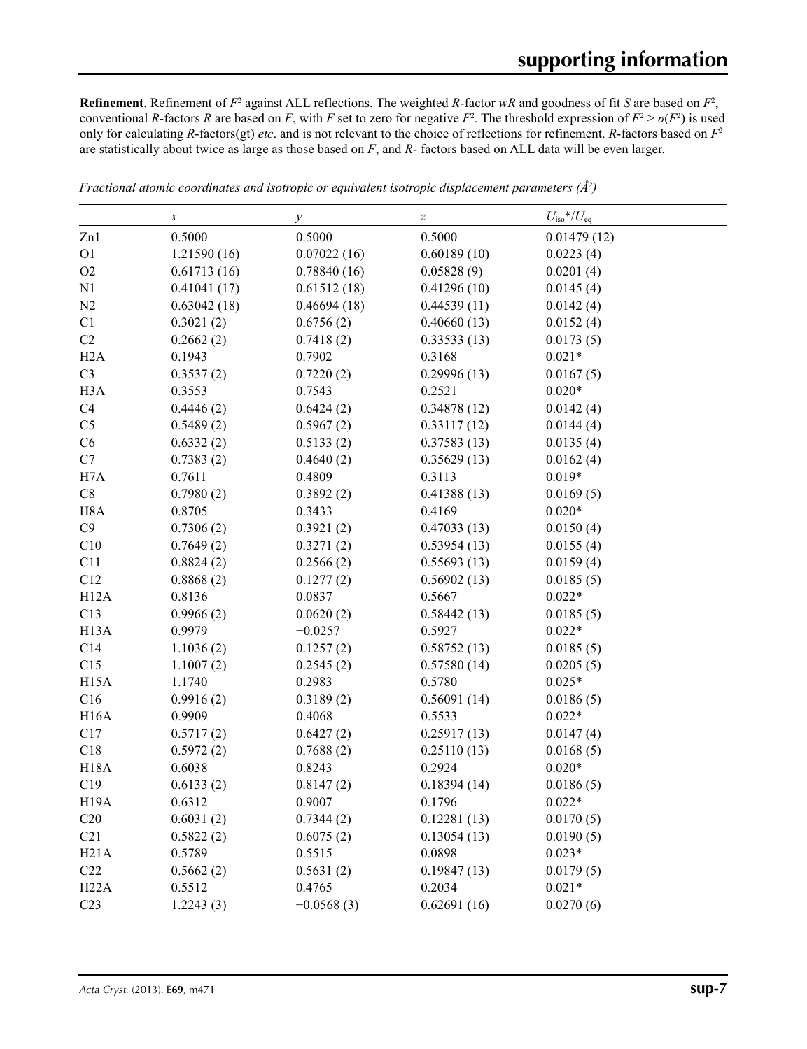**Refinement**. Refinement of  $F^2$  against ALL reflections. The weighted *R*-factor  $wR$  and goodness of fit *S* are based on  $F^2$ , conventional *R*-factors *R* are based on *F*, with *F* set to zero for negative  $F^2$ . The threshold expression of  $F^2 > \sigma(F^2)$  is used only for calculating *R*-factors(gt) *etc*. and is not relevant to the choice of reflections for refinement. *R*-factors based on *F*<sup>2</sup> are statistically about twice as large as those based on *F*, and *R*- factors based on ALL data will be even larger.

|                   | $\boldsymbol{\chi}$ | $\mathcal{Y}$ | Z           | $U_{\rm iso}$ */ $U_{\rm eq}$ |  |
|-------------------|---------------------|---------------|-------------|-------------------------------|--|
| Zn1               | 0.5000              | 0.5000        | 0.5000      | 0.01479(12)                   |  |
| O <sub>1</sub>    | 1.21590 (16)        | 0.07022(16)   | 0.60189(10) | 0.0223(4)                     |  |
| O2                | 0.61713(16)         | 0.78840(16)   | 0.05828(9)  | 0.0201(4)                     |  |
| N1                | 0.41041(17)         | 0.61512(18)   | 0.41296(10) | 0.0145(4)                     |  |
| N2                | 0.63042(18)         | 0.46694(18)   | 0.44539(11) | 0.0142(4)                     |  |
| C1                | 0.3021(2)           | 0.6756(2)     | 0.40660(13) | 0.0152(4)                     |  |
| C2                | 0.2662(2)           | 0.7418(2)     | 0.33533(13) | 0.0173(5)                     |  |
| H2A               | 0.1943              | 0.7902        | 0.3168      | $0.021*$                      |  |
| C <sub>3</sub>    | 0.3537(2)           | 0.7220(2)     | 0.29996(13) | 0.0167(5)                     |  |
| H <sub>3</sub> A  | 0.3553              | 0.7543        | 0.2521      | $0.020*$                      |  |
| C4                | 0.4446(2)           | 0.6424(2)     | 0.34878(12) | 0.0142(4)                     |  |
| C <sub>5</sub>    | 0.5489(2)           | 0.5967(2)     | 0.33117(12) | 0.0144(4)                     |  |
| C6                | 0.6332(2)           | 0.5133(2)     | 0.37583(13) | 0.0135(4)                     |  |
| C7                | 0.7383(2)           | 0.4640(2)     | 0.35629(13) | 0.0162(4)                     |  |
| H7A               | 0.7611              | 0.4809        | 0.3113      | $0.019*$                      |  |
| C8                | 0.7980(2)           | 0.3892(2)     | 0.41388(13) | 0.0169(5)                     |  |
| H <sub>8</sub> A  | 0.8705              | 0.3433        | 0.4169      | $0.020*$                      |  |
| C9                | 0.7306(2)           | 0.3921(2)     | 0.47033(13) | 0.0150(4)                     |  |
| C10               | 0.7649(2)           | 0.3271(2)     | 0.53954(13) | 0.0155(4)                     |  |
| C11               | 0.8824(2)           | 0.2566(2)     | 0.55693(13) | 0.0159(4)                     |  |
| C12               | 0.8868(2)           | 0.1277(2)     | 0.56902(13) | 0.0185(5)                     |  |
| H12A              | 0.8136              | 0.0837        | 0.5667      | $0.022*$                      |  |
| C13               | 0.9966(2)           | 0.0620(2)     | 0.58442(13) | 0.0185(5)                     |  |
| H <sub>13</sub> A | 0.9979              | $-0.0257$     | 0.5927      | $0.022*$                      |  |
| C14               | 1.1036(2)           | 0.1257(2)     | 0.58752(13) | 0.0185(5)                     |  |
| C15               | 1.1007(2)           | 0.2545(2)     | 0.57580(14) | 0.0205(5)                     |  |
| H <sub>15</sub> A | 1.1740              | 0.2983        | 0.5780      | $0.025*$                      |  |
| C16               | 0.9916(2)           | 0.3189(2)     | 0.56091(14) | 0.0186(5)                     |  |
| H16A              | 0.9909              | 0.4068        | 0.5533      | $0.022*$                      |  |
| C17               | 0.5717(2)           | 0.6427(2)     | 0.25917(13) | 0.0147(4)                     |  |
| C18               | 0.5972(2)           | 0.7688(2)     | 0.25110(13) | 0.0168(5)                     |  |
| <b>H18A</b>       | 0.6038              | 0.8243        | 0.2924      | $0.020*$                      |  |
| C19               | 0.6133(2)           | 0.8147(2)     | 0.18394(14) | 0.0186(5)                     |  |
| H19A              | 0.6312              | 0.9007        | 0.1796      | $0.022*$                      |  |
| C20               | 0.6031(2)           | 0.7344(2)     | 0.12281(13) | 0.0170(5)                     |  |
| C21               | 0.5822(2)           | 0.6075(2)     | 0.13054(13) | 0.0190(5)                     |  |
| H21A              | 0.5789              | 0.5515        | 0.0898      | $0.023*$                      |  |
| C22               | 0.5662(2)           | 0.5631(2)     | 0.19847(13) | 0.0179(5)                     |  |
| H22A              | 0.5512              | 0.4765        | 0.2034      | $0.021*$                      |  |
| C <sub>23</sub>   | 1.2243(3)           | $-0.0568(3)$  | 0.62691(16) | 0.0270(6)                     |  |

*Fractional atomic coordinates and isotropic or equivalent isotropic displacement parameters (Å2 )*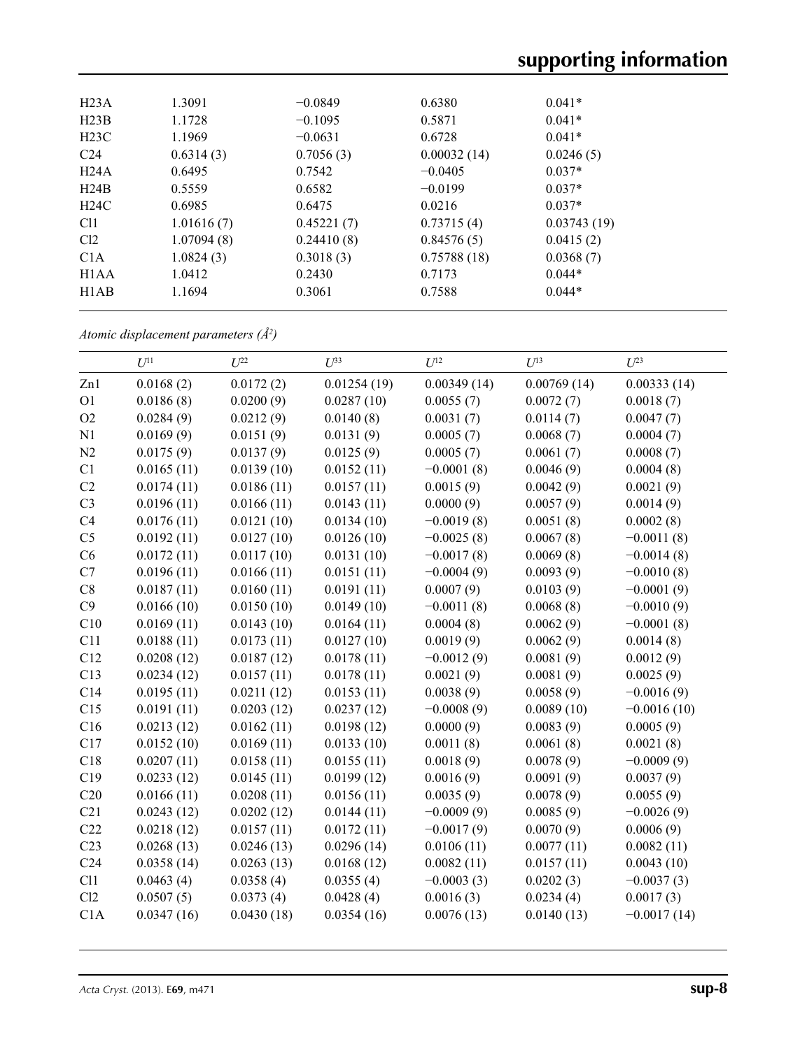| H23A                          | 1.3091     | $-0.0849$  | 0.6380      | $0.041*$    |  |
|-------------------------------|------------|------------|-------------|-------------|--|
| H23B                          | 1.1728     | $-0.1095$  | 0.5871      | $0.041*$    |  |
| H23C                          | 1.1969     | $-0.0631$  | 0.6728      | $0.041*$    |  |
| C <sub>24</sub>               | 0.6314(3)  | 0.7056(3)  | 0.00032(14) | 0.0246(5)   |  |
| H24A                          | 0.6495     | 0.7542     | $-0.0405$   | $0.037*$    |  |
| H24B                          | 0.5559     | 0.6582     | $-0.0199$   | $0.037*$    |  |
| H24C                          | 0.6985     | 0.6475     | 0.0216      | $0.037*$    |  |
| C <sub>11</sub>               | 1.01616(7) | 0.45221(7) | 0.73715(4)  | 0.03743(19) |  |
| Cl <sub>2</sub>               | 1.07094(8) | 0.24410(8) | 0.84576(5)  | 0.0415(2)   |  |
| C1A                           | 1.0824(3)  | 0.3018(3)  | 0.75788(18) | 0.0368(7)   |  |
| H <sub>1</sub> A <sub>A</sub> | 1.0412     | 0.2430     | 0.7173      | $0.044*$    |  |
| H <sub>1</sub> AB             | 1.1694     | 0.3061     | 0.7588      | $0.044*$    |  |
|                               |            |            |             |             |  |

*Atomic displacement parameters (Å2 )*

|                 | $U^{11}$   |            | $U^{33}$    | $U^{12}$     | $U^{13}$    | $U^{23}$      |
|-----------------|------------|------------|-------------|--------------|-------------|---------------|
|                 |            | $U^{22}$   |             |              |             |               |
| Zn1             | 0.0168(2)  | 0.0172(2)  | 0.01254(19) | 0.00349(14)  | 0.00769(14) | 0.00333(14)   |
| O <sub>1</sub>  | 0.0186(8)  | 0.0200(9)  | 0.0287(10)  | 0.0055(7)    | 0.0072(7)   | 0.0018(7)     |
| O2              | 0.0284(9)  | 0.0212(9)  | 0.0140(8)   | 0.0031(7)    | 0.0114(7)   | 0.0047(7)     |
| N1              | 0.0169(9)  | 0.0151(9)  | 0.0131(9)   | 0.0005(7)    | 0.0068(7)   | 0.0004(7)     |
| N2              | 0.0175(9)  | 0.0137(9)  | 0.0125(9)   | 0.0005(7)    | 0.0061(7)   | 0.0008(7)     |
| C1              | 0.0165(11) | 0.0139(10) | 0.0152(11)  | $-0.0001(8)$ | 0.0046(9)   | 0.0004(8)     |
| C2              | 0.0174(11) | 0.0186(11) | 0.0157(11)  | 0.0015(9)    | 0.0042(9)   | 0.0021(9)     |
| C <sub>3</sub>  | 0.0196(11) | 0.0166(11) | 0.0143(11)  | 0.0000(9)    | 0.0057(9)   | 0.0014(9)     |
| C4              | 0.0176(11) | 0.0121(10) | 0.0134(10)  | $-0.0019(8)$ | 0.0051(8)   | 0.0002(8)     |
| C <sub>5</sub>  | 0.0192(11) | 0.0127(10) | 0.0126(10)  | $-0.0025(8)$ | 0.0067(8)   | $-0.0011(8)$  |
| C6              | 0.0172(11) | 0.0117(10) | 0.0131(10)  | $-0.0017(8)$ | 0.0069(8)   | $-0.0014(8)$  |
| C7              | 0.0196(11) | 0.0166(11) | 0.0151(11)  | $-0.0004(9)$ | 0.0093(9)   | $-0.0010(8)$  |
| C8              | 0.0187(11) | 0.0160(11) | 0.0191(11)  | 0.0007(9)    | 0.0103(9)   | $-0.0001(9)$  |
| C9              | 0.0166(10) | 0.0150(10) | 0.0149(10)  | $-0.0011(8)$ | 0.0068(8)   | $-0.0010(9)$  |
| C10             | 0.0169(11) | 0.0143(10) | 0.0164(11)  | 0.0004(8)    | 0.0062(9)   | $-0.0001(8)$  |
| C11             | 0.0188(11) | 0.0173(11) | 0.0127(10)  | 0.0019(9)    | 0.0062(9)   | 0.0014(8)     |
| C12             | 0.0208(12) | 0.0187(12) | 0.0178(11)  | $-0.0012(9)$ | 0.0081(9)   | 0.0012(9)     |
| C13             | 0.0234(12) | 0.0157(11) | 0.0178(11)  | 0.0021(9)    | 0.0081(9)   | 0.0025(9)     |
| C14             | 0.0195(11) | 0.0211(12) | 0.0153(11)  | 0.0038(9)    | 0.0058(9)   | $-0.0016(9)$  |
| C15             | 0.0191(11) | 0.0203(12) | 0.0237(12)  | $-0.0008(9)$ | 0.0089(10)  | $-0.0016(10)$ |
| C16             | 0.0213(12) | 0.0162(11) | 0.0198(12)  | 0.0000(9)    | 0.0083(9)   | 0.0005(9)     |
| C17             | 0.0152(10) | 0.0169(11) | 0.0133(10)  | 0.0011(8)    | 0.0061(8)   | 0.0021(8)     |
| C18             | 0.0207(11) | 0.0158(11) | 0.0155(11)  | 0.0018(9)    | 0.0078(9)   | $-0.0009(9)$  |
| C19             | 0.0233(12) | 0.0145(11) | 0.0199(12)  | 0.0016(9)    | 0.0091(9)   | 0.0037(9)     |
| C20             | 0.0166(11) | 0.0208(11) | 0.0156(11)  | 0.0035(9)    | 0.0078(9)   | 0.0055(9)     |
| C21             | 0.0243(12) | 0.0202(12) | 0.0144(11)  | $-0.0009(9)$ | 0.0085(9)   | $-0.0026(9)$  |
| C22             | 0.0218(12) | 0.0157(11) | 0.0172(11)  | $-0.0017(9)$ | 0.0070(9)   | 0.0006(9)     |
| C <sub>23</sub> | 0.0268(13) | 0.0246(13) | 0.0296(14)  | 0.0106(11)   | 0.0077(11)  | 0.0082(11)    |
| C <sub>24</sub> | 0.0358(14) | 0.0263(13) | 0.0168(12)  | 0.0082(11)   | 0.0157(11)  | 0.0043(10)    |
| C11             | 0.0463(4)  | 0.0358(4)  | 0.0355(4)   | $-0.0003(3)$ | 0.0202(3)   | $-0.0037(3)$  |
| Cl2             | 0.0507(5)  | 0.0373(4)  | 0.0428(4)   | 0.0016(3)    | 0.0234(4)   | 0.0017(3)     |
| C1A             | 0.0347(16) | 0.0430(18) | 0.0354(16)  | 0.0076(13)   | 0.0140(13)  | $-0.0017(14)$ |
|                 |            |            |             |              |             |               |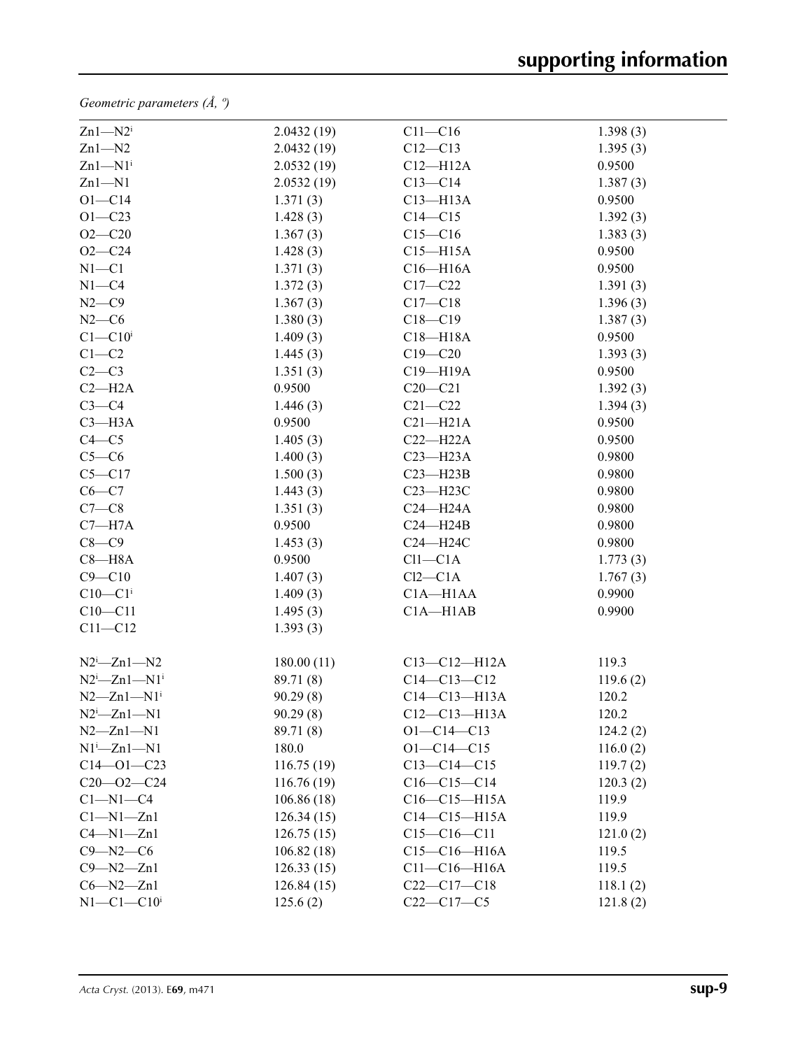*Geometric parameters (Å, º)*

| $Zn1 - N2i$                  | 2.0432(19) | $C11 - C16$        | 1.398(3) |  |
|------------------------------|------------|--------------------|----------|--|
| $Zn1 - N2$                   | 2.0432(19) | $C12 - C13$        | 1.395(3) |  |
| $Zn1-M1$ <sup>i</sup>        | 2.0532(19) | $C12 - H12A$       | 0.9500   |  |
| $Zn1 - N1$                   | 2.0532(19) | $C13-C14$          | 1.387(3) |  |
| $O1 - C14$                   | 1.371(3)   | $C13 - H13A$       | 0.9500   |  |
| $O1 - C23$                   | 1.428(3)   | $C14 - C15$        | 1.392(3) |  |
| $O2 - C20$                   | 1.367(3)   | $C15 - C16$        | 1.383(3) |  |
| $O2 - C24$                   | 1.428(3)   | $C15 - H15A$       | 0.9500   |  |
| $N1 - C1$                    | 1.371(3)   | $C16 - H16A$       | 0.9500   |  |
| $N1 - C4$                    | 1.372(3)   | $C17 - C22$        | 1.391(3) |  |
| $N2-C9$                      | 1.367(3)   | $C17 - C18$        | 1.396(3) |  |
| $N2-C6$                      | 1.380(3)   | $C18 - C19$        | 1.387(3) |  |
| $C1 - C10$ <sup>i</sup>      | 1.409(3)   | $C18 - H18A$       | 0.9500   |  |
| $C1-C2$                      | 1.445(3)   | $C19 - C20$        | 1.393(3) |  |
| $C2-C3$                      | 1.351(3)   | C19-H19A           | 0.9500   |  |
| $C2 - H2A$                   | 0.9500     | $C20 - C21$        | 1.392(3) |  |
| $C3-C4$                      | 1.446(3)   | $C21 - C22$        | 1.394(3) |  |
| $C3 - H3A$                   | 0.9500     | $C21 - H21A$       | 0.9500   |  |
| $C4 - C5$                    | 1.405(3)   | $C22-H22A$         | 0.9500   |  |
| $C5-C6$                      | 1.400(3)   | $C23 - H23A$       | 0.9800   |  |
| $C5 - C17$                   | 1.500(3)   | $C23 - H23B$       | 0.9800   |  |
| $C6 - C7$                    | 1.443(3)   | C23-H23C           | 0.9800   |  |
| $C7-C8$                      | 1.351(3)   | $C24 - H24A$       | 0.9800   |  |
| $C7 - H7A$                   | 0.9500     | $C24 - H24B$       | 0.9800   |  |
| $C8-C9$                      | 1.453(3)   | C24-H24C           | 0.9800   |  |
| $C8 - H8A$                   | 0.9500     | $Cl1-C1A$          | 1.773(3) |  |
| $C9 - C10$                   | 1.407(3)   | $Cl2-C1A$          | 1.767(3) |  |
| $C10-C1$ <sup>i</sup>        | 1.409(3)   | $C1A - H1AA$       | 0.9900   |  |
| $C10 - C11$                  | 1.495(3)   | $C1A - H1AB$       | 0.9900   |  |
| $C11 - C12$                  | 1.393(3)   |                    |          |  |
| $N2^i$ -Zn1- $N2$            | 180.00(11) | $C13 - C12 - H12A$ | 119.3    |  |
| $N2^i$ -Zn1- $N1^i$          | 89.71 (8)  | $C14 - C13 - C12$  | 119.6(2) |  |
| $N2 - Zn1 - N1$ <sup>i</sup> | 90.29(8)   | $C14-C13-H13A$     | 120.2    |  |
| $N2^i$ -Zn1- $N1$            | 90.29(8)   | $C12-C13-H13A$     | 120.2    |  |
| $N2 - Zn1 - N1$              | 89.71 (8)  | $O1 - C14 - C13$   | 124.2(2) |  |
| $N1^i$ -Zn $1$ -N1           | 180.0      | $O1 - C14 - C15$   | 116.0(2) |  |
| $C14 - 01 - C23$             | 116.75(19) | $C13-C14-C15$      | 119.7(2) |  |
| $C20 - 02 - C24$             | 116.76(19) | $C16-C15-C14$      | 120.3(2) |  |
| $C1 - N1 - C4$               | 106.86(18) | C16-C15-H15A       | 119.9    |  |
| $Cl-M1-Zn1$                  | 126.34(15) | $C14-C15-H15A$     | 119.9    |  |
| $C4 - N1 - Zn1$              | 126.75(15) | $C15-C16-C11$      | 121.0(2) |  |
| $C9 - N2 - C6$               | 106.82(18) | $C15-C16-H16A$     | 119.5    |  |
| $C9 - N2 - Zn1$              | 126.33(15) | $C11-C16-H16A$     | 119.5    |  |
| $C6 - N2 - Zn1$              | 126.84(15) | $C22-C17-C18$      | 118.1(2) |  |
| $N1-C1-C10$ <sup>i</sup>     | 125.6(2)   | $C22-C17-C5$       | 121.8(2) |  |